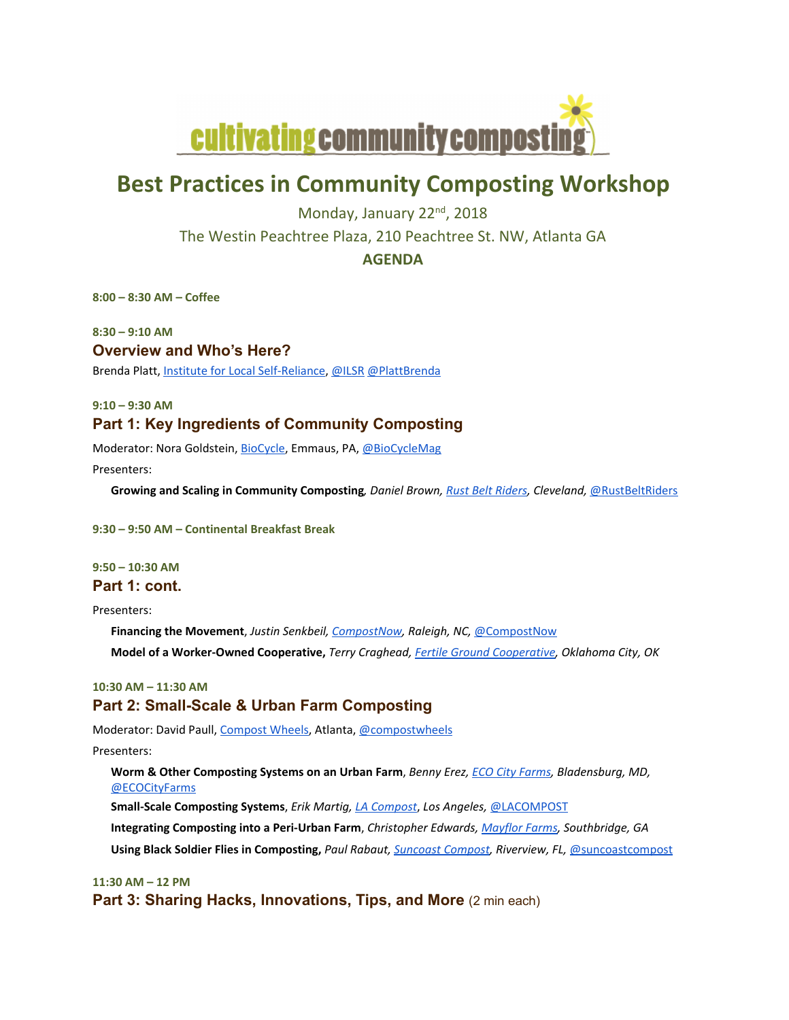

# **Best Practices in Community Composting Workshop**

Monday, January 22<sup>nd</sup>, 2018 The Westin Peachtree Plaza, 210 Peachtree St. NW, Atlanta GA

**AGENDA**

**8:00 – 8:30 AM – Coffee**

**8:30 – 9:10 AM Overview and Who's Here?**

Brenda Platt, Institute for Local Self‐Reliance, @ILSR @PlattBrenda

**9:10 – 9:30 AM**

# **Part 1: Key Ingredients of Community Composting**

Moderator: Nora Goldstein, BioCycle, Emmaus, PA, @BioCycleMag

Presenters:

**Growing and Scaling in Community Composting***, Daniel Brown, Rust Belt Riders, Cleveland,* @RustBeltRiders

**9:30 – 9:50 AM – Continental Breakfast Break**

**9:50 – 10:30 AM Part 1: cont.**

Presenters:

**Financing the Movement**, *Justin Senkbeil, CompostNow, Raleigh, NC,* @CompostNow **Model of a Worker‐Owned Cooperative,** *Terry Craghead, Fertile Ground Cooperative, Oklahoma City, OK*

# **10:30 AM – 11:30 AM Part 2: Small-Scale & Urban Farm Composting**

Moderator: David Paull, Compost Wheels, Atlanta, @compostwheels

Presenters:

**Worm & Other Composting Systems on an Urban Farm**, *Benny Erez, ECO City Farms, Bladensburg, MD,* @ECOCityFarms

**Small‐Scale Composting Systems**, *Erik Martig, LA Compost*, *Los Angeles,* @LACOMPOST

**Integrating Composting into a Peri‐Urban Farm**, *Christopher Edwards, Mayflor Farms, Southbridge, GA*

**Using Black Soldier Flies in Composting,** *Paul Rabaut, Suncoast Compost, Riverview, FL,* @suncoastcompost

**11:30 AM – 12 PM**

**Part 3: Sharing Hacks, Innovations, Tips, and More (2 min each)**